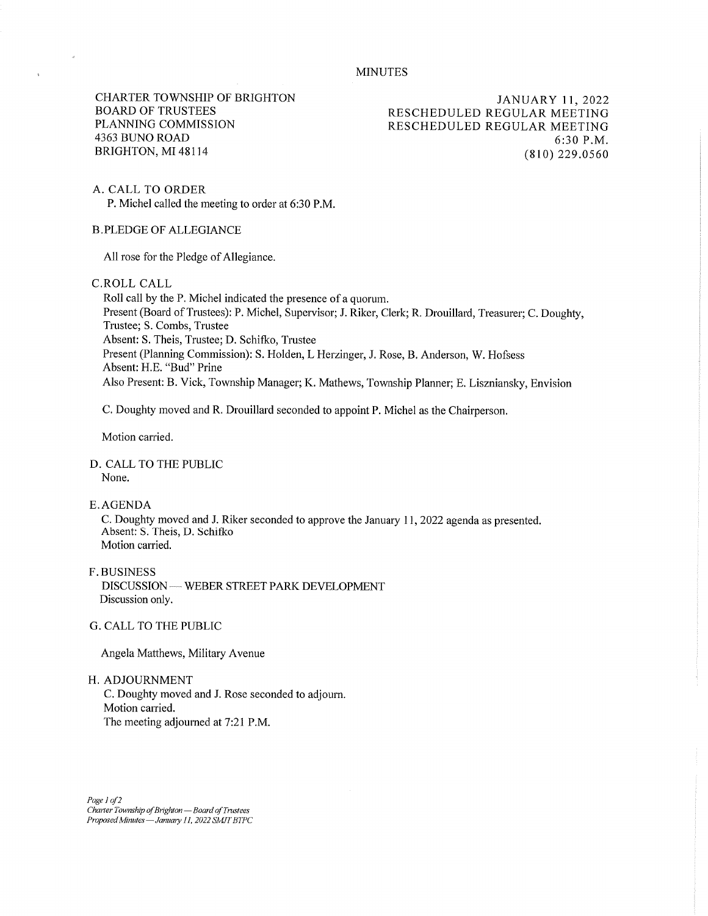## MINUTES

CHARTER TOWNSHIP OF BRIGHTON BOARD OF TRUSTEES PLANNING COMMISSION 4363 BUNO ROAD BRIGHTON, MI 48114

JANUARY 11, 2022 RESCHEDULED REGULAR MEETING RESCHEDULED REGULAR MEETING 6:30 P.M. (810) 229.0560

A. CALL TO ORDER

P. Michel called the meeting to order at 6:30 P.M.

B.PLEDGE OF ALLEGIANCE

All rose for the Pledge of Allegiance.

C.ROLL CALL

Roll call by the P. Michel indicated the presence of a quorum. Present (Board of Trustees): P. Michel, Supervisor; J. Riker, Clerk; R. Drouillard, Treasurer; C. Doughty, Trustee; S. Combs, Trustee Absent: S. Theis, Trustee; D. Schifko, Trustee Present (Planning Commission): S. Holden, L Herzinger, J. Rose, B. Anderson, W. Hofsess Absent: H.E. "Bud" Prine Also Present: B. Vick, Township Manager; K. Mathews, Township Planner; E. Liszniansky, Envision

C. Doughty moved and R. Drouillard seconded to appoint P. Michel as the Chairperson.

Motion carried.

D. CALL TO THE PUBLIC None.

E. AGENDA

C. Doughty moved and J. Riker seconded to approve the January 11, 2022 agenda as presented. Absent: S. Theis, D. Schifko Motion carried.

F. BUSINESS DISCUSSION — WEBER STREET PARK DEVELOPMENT Discussion only.

G. CALL TO THE PUBLIC

Angela Matthews, Military Avenue

H. ADJOURNMENT

C. Doughty moved and J. Rose seconded to adjourn. Motion carried. The meeting adjourned at 7:21 P.M.